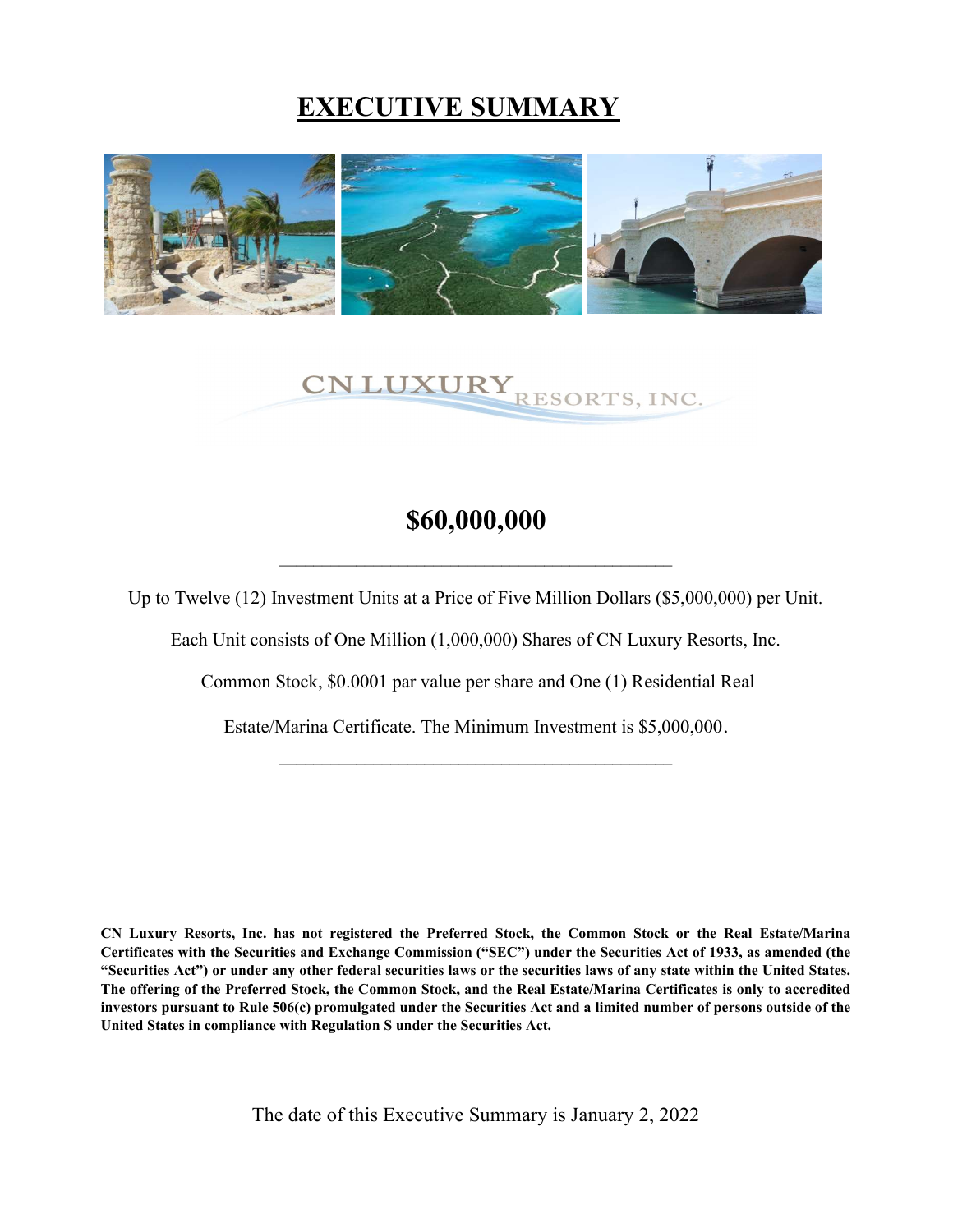## EXECUTIVE SUMMARY



# CN LUXURY RESORTS, INC.

## \$60,000,000

\_\_\_\_\_\_\_\_\_\_\_\_\_\_\_\_\_\_\_\_\_\_\_\_\_\_\_\_\_\_\_\_\_\_\_\_\_\_\_\_\_\_\_\_\_\_

Up to Twelve (12) Investment Units at a Price of Five Million Dollars (\$5,000,000) per Unit.

Each Unit consists of One Million (1,000,000) Shares of CN Luxury Resorts, Inc.

Common Stock, \$0.0001 par value per share and One (1) Residential Real

Estate/Marina Certificate. The Minimum Investment is \$5,000,000.  $\mathcal{L}_\text{max}$  and the contract of the contract of the contract of the contract of the contract of the contract of the contract of the contract of the contract of the contract of the contract of the contract of the contrac

CN Luxury Resorts, Inc. has not registered the Preferred Stock, the Common Stock or the Real Estate/Marina Certificates with the Securities and Exchange Commission ("SEC") under the Securities Act of 1933, as amended (the "Securities Act") or under any other federal securities laws or the securities laws of any state within the United States. The offering of the Preferred Stock, the Common Stock, and the Real Estate/Marina Certificates is only to accredited investors pursuant to Rule 506(c) promulgated under the Securities Act and a limited number of persons outside of the United States in compliance with Regulation S under the Securities Act.

The date of this Executive Summary is January 2, 2022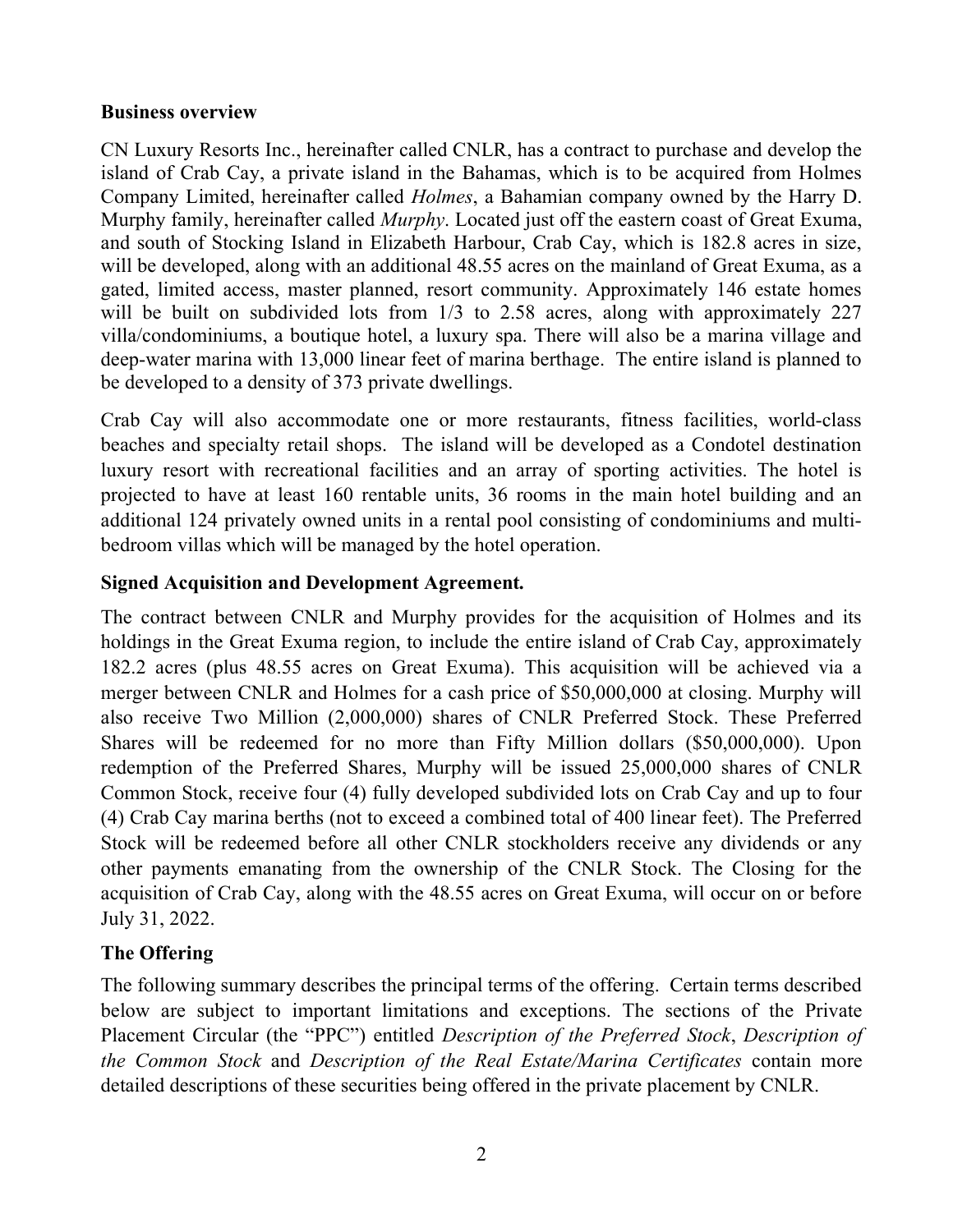#### Business overview

CN Luxury Resorts Inc., hereinafter called CNLR, has a contract to purchase and develop the island of Crab Cay, a private island in the Bahamas, which is to be acquired from Holmes Company Limited, hereinafter called *Holmes*, a Bahamian company owned by the Harry D. Murphy family, hereinafter called *Murphy*. Located just off the eastern coast of Great Exuma, and south of Stocking Island in Elizabeth Harbour, Crab Cay, which is 182.8 acres in size, will be developed, along with an additional 48.55 acres on the mainland of Great Exuma, as a gated, limited access, master planned, resort community. Approximately 146 estate homes will be built on subdivided lots from  $1/3$  to 2.58 acres, along with approximately 227 villa/condominiums, a boutique hotel, a luxury spa. There will also be a marina village and deep-water marina with 13,000 linear feet of marina berthage. The entire island is planned to be developed to a density of 373 private dwellings.

Crab Cay will also accommodate one or more restaurants, fitness facilities, world-class beaches and specialty retail shops. The island will be developed as a Condotel destination luxury resort with recreational facilities and an array of sporting activities. The hotel is projected to have at least 160 rentable units, 36 rooms in the main hotel building and an additional 124 privately owned units in a rental pool consisting of condominiums and multibedroom villas which will be managed by the hotel operation.

#### Signed Acquisition and Development Agreement.

The contract between CNLR and Murphy provides for the acquisition of Holmes and its holdings in the Great Exuma region, to include the entire island of Crab Cay, approximately 182.2 acres (plus 48.55 acres on Great Exuma). This acquisition will be achieved via a merger between CNLR and Holmes for a cash price of \$50,000,000 at closing. Murphy will also receive Two Million (2,000,000) shares of CNLR Preferred Stock. These Preferred Shares will be redeemed for no more than Fifty Million dollars (\$50,000,000). Upon redemption of the Preferred Shares, Murphy will be issued 25,000,000 shares of CNLR Common Stock, receive four (4) fully developed subdivided lots on Crab Cay and up to four (4) Crab Cay marina berths (not to exceed a combined total of 400 linear feet). The Preferred Stock will be redeemed before all other CNLR stockholders receive any dividends or any other payments emanating from the ownership of the CNLR Stock. The Closing for the acquisition of Crab Cay, along with the 48.55 acres on Great Exuma, will occur on or before July 31, 2022.

#### The Offering

The following summary describes the principal terms of the offering. Certain terms described below are subject to important limitations and exceptions. The sections of the Private Placement Circular (the "PPC") entitled Description of the Preferred Stock, Description of the Common Stock and Description of the Real Estate/Marina Certificates contain more detailed descriptions of these securities being offered in the private placement by CNLR.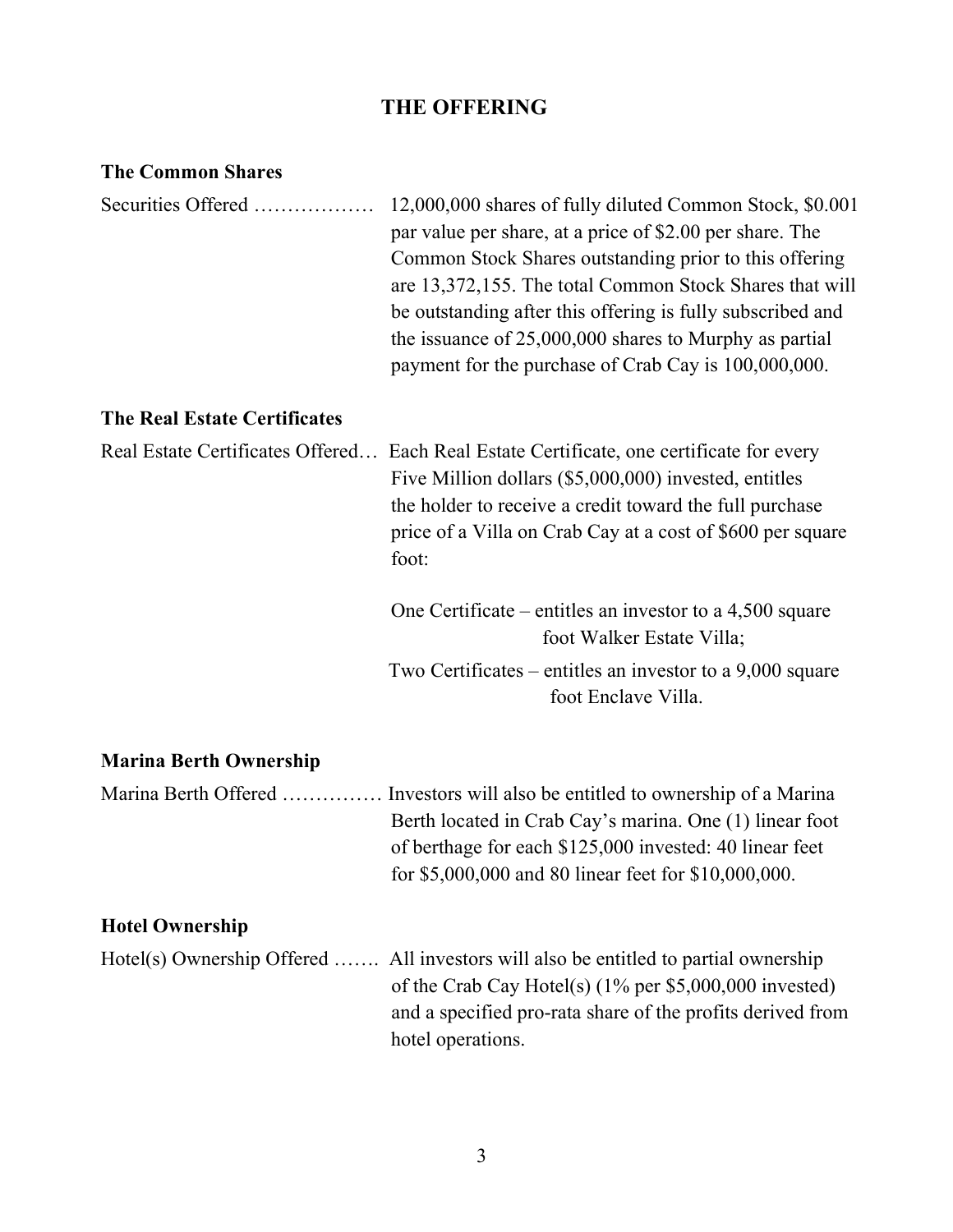## THE OFFERING

| <b>The Common Shares</b>            |                                                                                                                                                                                                                                                                                                                                                                                                                             |
|-------------------------------------|-----------------------------------------------------------------------------------------------------------------------------------------------------------------------------------------------------------------------------------------------------------------------------------------------------------------------------------------------------------------------------------------------------------------------------|
| Securities Offered                  | 12,000,000 shares of fully diluted Common Stock, \$0.001<br>par value per share, at a price of \$2.00 per share. The<br>Common Stock Shares outstanding prior to this offering<br>are 13,372,155. The total Common Stock Shares that will<br>be outstanding after this offering is fully subscribed and<br>the issuance of $25,000,000$ shares to Murphy as partial<br>payment for the purchase of Crab Cay is 100,000,000. |
| <b>The Real Estate Certificates</b> |                                                                                                                                                                                                                                                                                                                                                                                                                             |
|                                     | Real Estate Certificates Offered Each Real Estate Certificate, one certificate for every<br>Five Million dollars (\$5,000,000) invested, entitles<br>the holder to receive a credit toward the full purchase<br>price of a Villa on Crab Cay at a cost of \$600 per square<br>foot:                                                                                                                                         |
|                                     | One Certificate – entitles an investor to a $4,500$ square<br>foot Walker Estate Villa;                                                                                                                                                                                                                                                                                                                                     |
|                                     | Two Certificates – entitles an investor to a $9,000$ square<br>foot Enclave Villa.                                                                                                                                                                                                                                                                                                                                          |
| <b>Marina Berth Ownership</b>       |                                                                                                                                                                                                                                                                                                                                                                                                                             |

| Marina Berth Offered  Investors will also be entitled to ownership of a Marina |
|--------------------------------------------------------------------------------|
| Berth located in Crab Cay's marina. One (1) linear foot                        |
| of berthage for each \$125,000 invested: 40 linear feet                        |
| for \$5,000,000 and 80 linear feet for \$10,000,000.                           |

## Hotel Ownership

| Hotel(s) Ownership Offered  All investors will also be entitled to partial ownership |
|--------------------------------------------------------------------------------------|
| of the Crab Cay Hotel(s) $(1\%$ per \$5,000,000 invested)                            |
| and a specified pro-rata share of the profits derived from                           |
| hotel operations.                                                                    |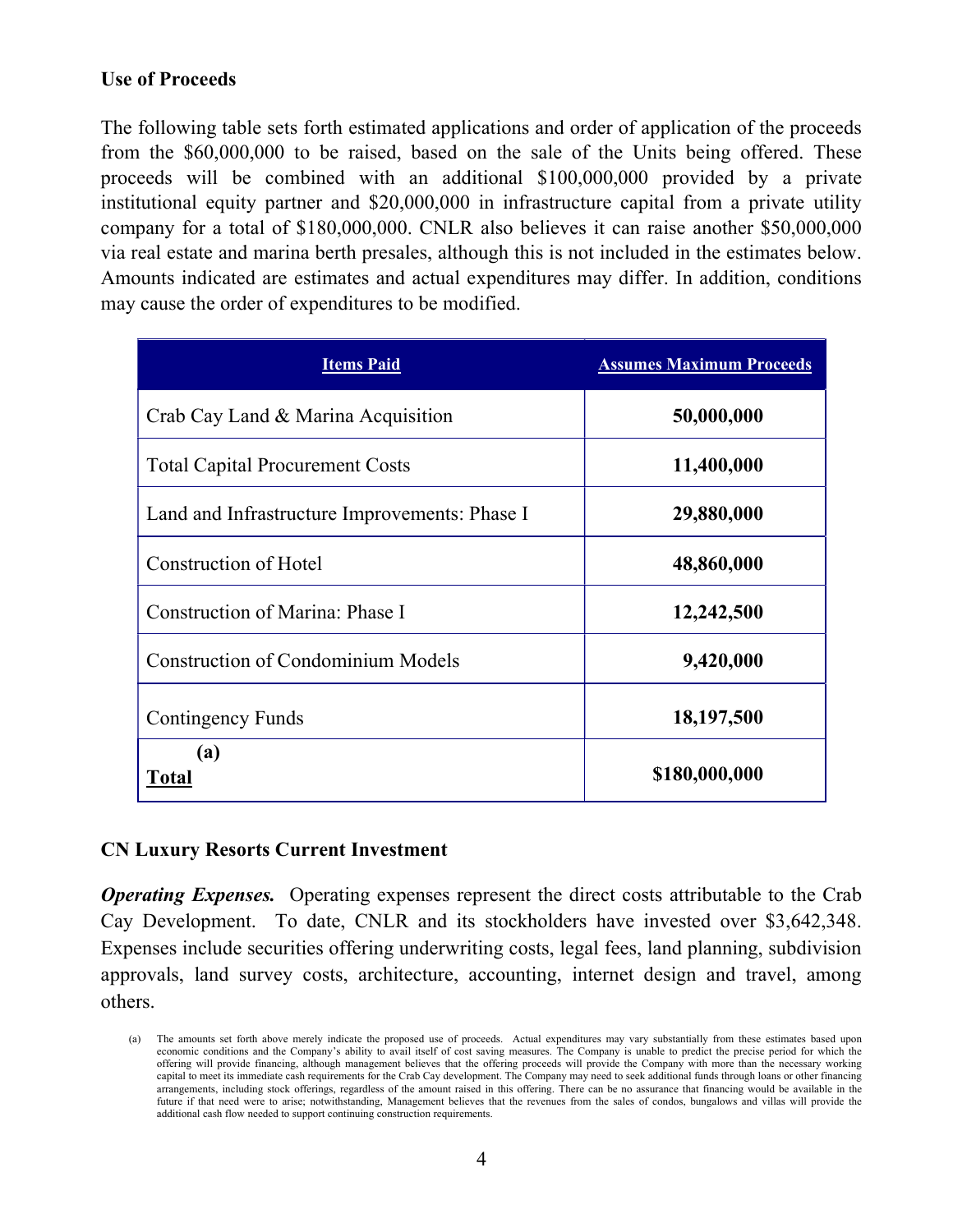### Use of Proceeds

The following table sets forth estimated applications and order of application of the proceeds from the \$60,000,000 to be raised, based on the sale of the Units being offered. These proceeds will be combined with an additional \$100,000,000 provided by a private institutional equity partner and \$20,000,000 in infrastructure capital from a private utility company for a total of \$180,000,000. CNLR also believes it can raise another \$50,000,000 via real estate and marina berth presales, although this is not included in the estimates below. Amounts indicated are estimates and actual expenditures may differ. In addition, conditions may cause the order of expenditures to be modified.

| <b>Items Paid</b>                             | <b>Assumes Maximum Proceeds</b> |
|-----------------------------------------------|---------------------------------|
| Crab Cay Land & Marina Acquisition            | 50,000,000                      |
| <b>Total Capital Procurement Costs</b>        | 11,400,000                      |
| Land and Infrastructure Improvements: Phase I | 29,880,000                      |
| Construction of Hotel                         | 48,860,000                      |
| Construction of Marina: Phase I               | 12,242,500                      |
| <b>Construction of Condominium Models</b>     | 9,420,000                       |
| Contingency Funds                             | 18,197,500                      |
| (a)<br><b>Total</b>                           | \$180,000,000                   |

#### CN Luxury Resorts Current Investment

**Operating Expenses.** Operating expenses represent the direct costs attributable to the Crab Cay Development. To date, CNLR and its stockholders have invested over \$3,642,348. Expenses include securities offering underwriting costs, legal fees, land planning, subdivision approvals, land survey costs, architecture, accounting, internet design and travel, among others.

<sup>(</sup>a) The amounts set forth above merely indicate the proposed use of proceeds. Actual expenditures may vary substantially from these estimates based upon economic conditions and the Company's ability to avail itself of cost saving measures. The Company is unable to predict the precise period for which the offering will provide financing, although management believes that the offering proceeds will provide the Company with more than the necessary working capital to meet its immediate cash requirements for the Crab Cay development. The Company may need to seek additional funds through loans or other financing arrangements, including stock offerings, regardless of the amount raised in this offering. There can be no assurance that financing would be available in the future if that need were to arise; notwithstanding, Management believes that the revenues from the sales of condos, bungalows and villas will provide the additional cash flow needed to support continuing construction requirements.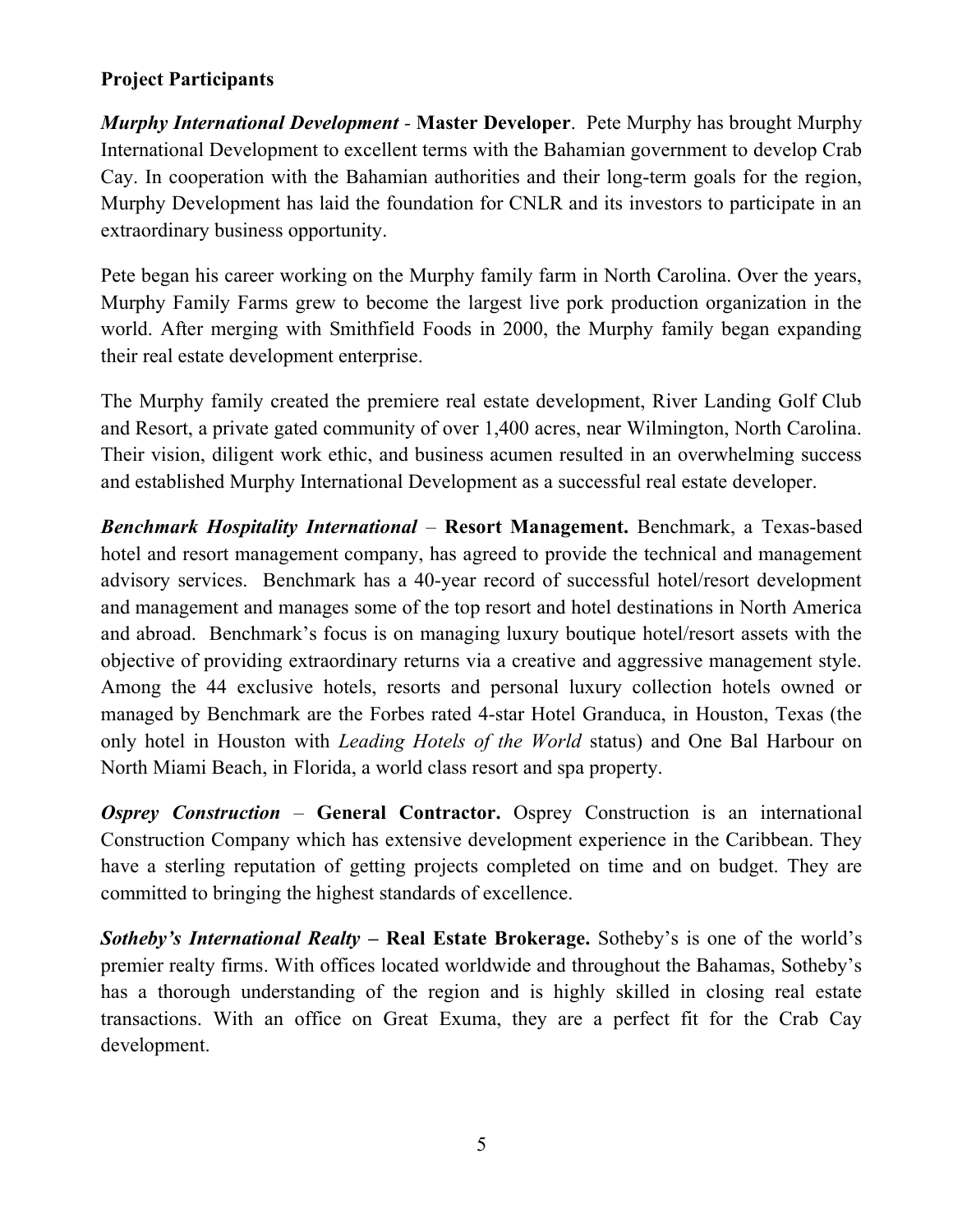## Project Participants

**Murphy International Development - Master Developer.** Pete Murphy has brought Murphy International Development to excellent terms with the Bahamian government to develop Crab Cay. In cooperation with the Bahamian authorities and their long-term goals for the region, Murphy Development has laid the foundation for CNLR and its investors to participate in an extraordinary business opportunity.

Pete began his career working on the Murphy family farm in North Carolina. Over the years, Murphy Family Farms grew to become the largest live pork production organization in the world. After merging with Smithfield Foods in 2000, the Murphy family began expanding their real estate development enterprise.

The Murphy family created the premiere real estate development, River Landing Golf Club and Resort, a private gated community of over 1,400 acres, near Wilmington, North Carolina. Their vision, diligent work ethic, and business acumen resulted in an overwhelming success and established Murphy International Development as a successful real estate developer.

Benchmark Hospitality International – Resort Management. Benchmark, a Texas-based hotel and resort management company, has agreed to provide the technical and management advisory services. Benchmark has a 40-year record of successful hotel/resort development and management and manages some of the top resort and hotel destinations in North America and abroad. Benchmark's focus is on managing luxury boutique hotel/resort assets with the objective of providing extraordinary returns via a creative and aggressive management style. Among the 44 exclusive hotels, resorts and personal luxury collection hotels owned or managed by Benchmark are the Forbes rated 4-star Hotel Granduca, in Houston, Texas (the only hotel in Houston with *Leading Hotels of the World* status) and One Bal Harbour on North Miami Beach, in Florida, a world class resort and spa property.

**Osprey Construction – General Contractor.** Osprey Construction is an international Construction Company which has extensive development experience in the Caribbean. They have a sterling reputation of getting projects completed on time and on budget. They are committed to bringing the highest standards of excellence.

**Sotheby's International Realty – Real Estate Brokerage.** Sotheby's is one of the world's premier realty firms. With offices located worldwide and throughout the Bahamas, Sotheby's has a thorough understanding of the region and is highly skilled in closing real estate transactions. With an office on Great Exuma, they are a perfect fit for the Crab Cay development.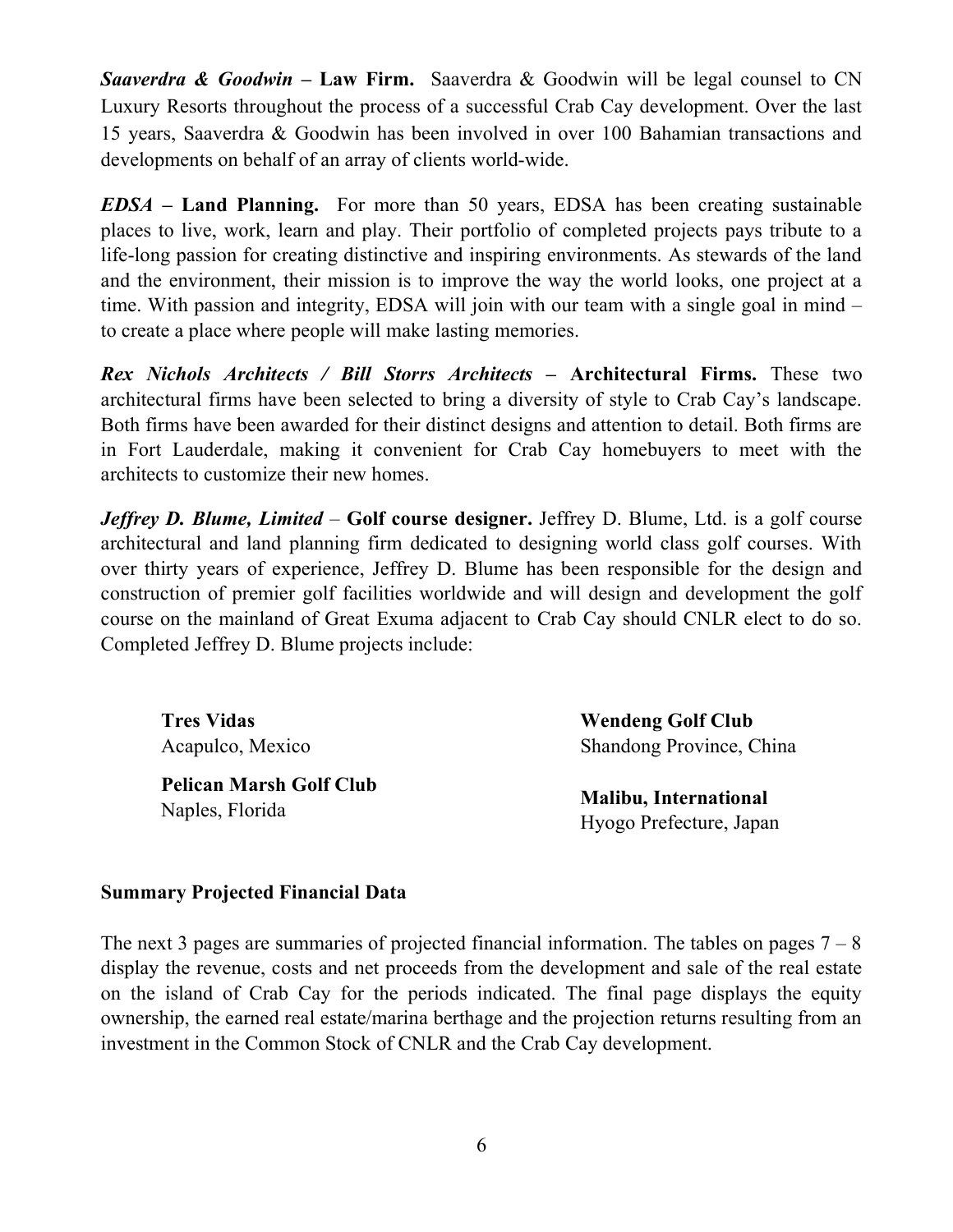**Saaverdra & Goodwin – Law Firm.** Saaverdra & Goodwin will be legal counsel to CN Luxury Resorts throughout the process of a successful Crab Cay development. Over the last 15 years, Saaverdra & Goodwin has been involved in over 100 Bahamian transactions and developments on behalf of an array of clients world-wide.

 $EDSA - Land Planning$ . For more than 50 years, EDSA has been creating sustainable places to live, work, learn and play. Their portfolio of completed projects pays tribute to a life-long passion for creating distinctive and inspiring environments. As stewards of the land and the environment, their mission is to improve the way the world looks, one project at a time. With passion and integrity, EDSA will join with our team with a single goal in mind – to create a place where people will make lasting memories.

Rex Nichols Architects / Bill Storrs Architects – Architectural Firms. These two architectural firms have been selected to bring a diversity of style to Crab Cay's landscape. Both firms have been awarded for their distinct designs and attention to detail. Both firms are in Fort Lauderdale, making it convenient for Crab Cay homebuyers to meet with the architects to customize their new homes.

**Jeffrey D. Blume, Limited – Golf course designer.** Jeffrey D. Blume, Ltd. is a golf course architectural and land planning firm dedicated to designing world class golf courses. With over thirty years of experience, Jeffrey D. Blume has been responsible for the design and construction of premier golf facilities worldwide and will design and development the golf course on the mainland of Great Exuma adjacent to Crab Cay should CNLR elect to do so. Completed Jeffrey D. Blume projects include:

 Tres Vidas Acapulco, Mexico

 Pelican Marsh Golf Club Naples, Florida

 Wendeng Golf Club Shandong Province, China

 Malibu, International Hyogo Prefecture, Japan

#### Summary Projected Financial Data

The next 3 pages are summaries of projected financial information. The tables on pages  $7 - 8$ display the revenue, costs and net proceeds from the development and sale of the real estate on the island of Crab Cay for the periods indicated. The final page displays the equity ownership, the earned real estate/marina berthage and the projection returns resulting from an investment in the Common Stock of CNLR and the Crab Cay development.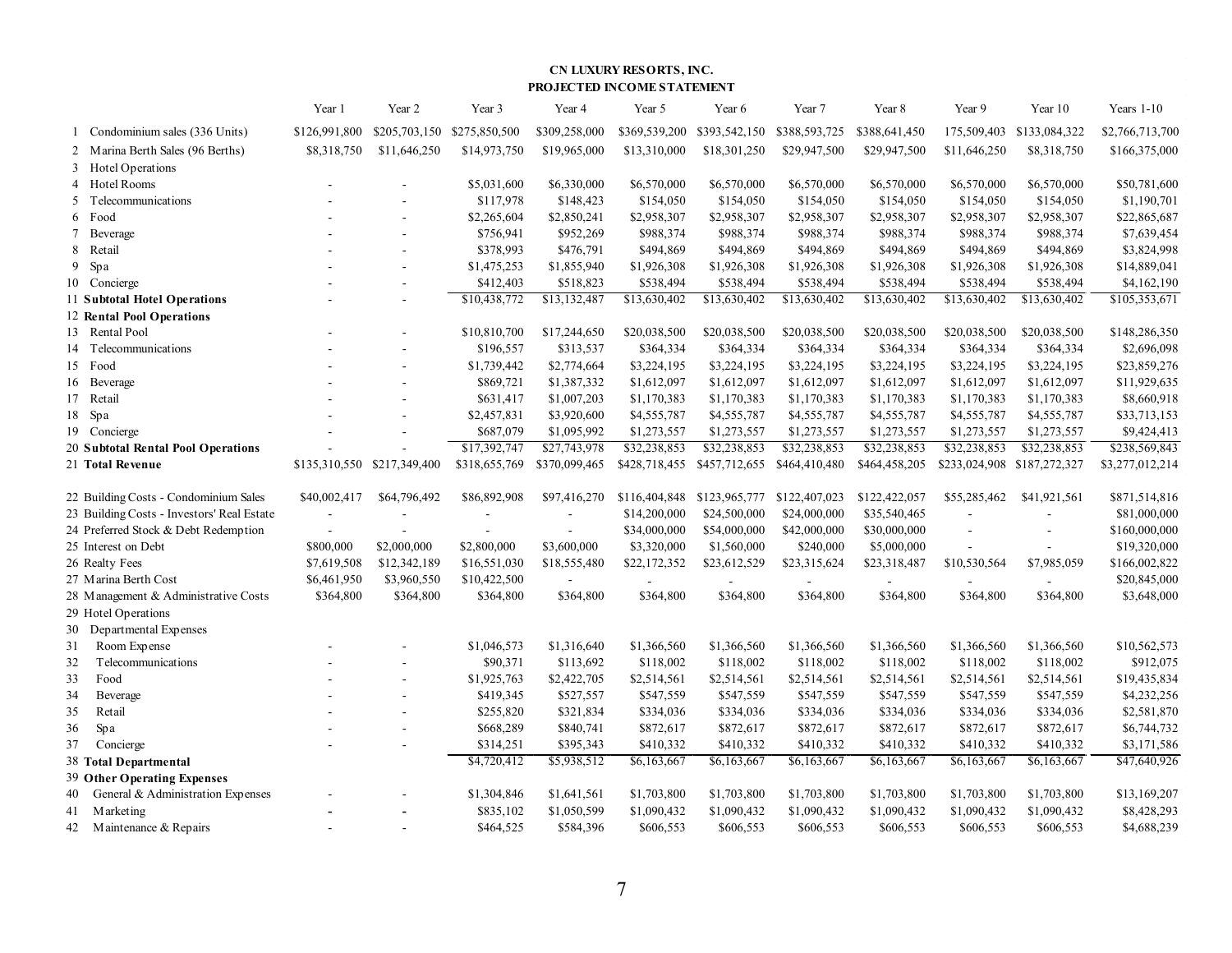#### CN LUXURY RESORTS, INC. PROJECTED INCOME STATEMENT

|                                                             |                                       |                                                         |                               |                                         | <b>CN LUXURY RESORTS, INC.</b> |                             |                                                           |                               |                                                      |                          |                                  |
|-------------------------------------------------------------|---------------------------------------|---------------------------------------------------------|-------------------------------|-----------------------------------------|--------------------------------|-----------------------------|-----------------------------------------------------------|-------------------------------|------------------------------------------------------|--------------------------|----------------------------------|
|                                                             |                                       |                                                         |                               | PROJECTED INCOME STATEMENT              |                                |                             |                                                           |                               |                                                      |                          |                                  |
|                                                             | Year 1                                | Year 2                                                  | Year 3                        | Year 4                                  | Year 5                         | Year 6                      | Year 7                                                    | Year 8                        | Year 9                                               | Year 10                  | Years $1-10$                     |
| 1 Condominium sales (336 Units)                             | \$126,991,800                         | \$205,703,150                                           | \$275,850,500                 | \$309,258,000                           | \$369,539,200                  | \$393,542,150               | \$388,593,725                                             | \$388,641,450                 | 175,509,403                                          | \$133,084,322            | \$2,766,713,700                  |
| 2 Marina Berth Sales (96 Berths)                            | \$8,318,750                           | \$11,646,250                                            | \$14,973,750                  | \$19,965,000                            | \$13,310,000                   | \$18,301,250                | \$29,947,500                                              | \$29,947,500                  | \$11,646,250                                         | \$8,318,750              | \$166,375,000                    |
| 3 Hotel Operations<br>4 Hotel Rooms                         |                                       |                                                         | \$5,031,600                   | \$6,330,000                             | \$6,570,000                    | \$6,570,000                 | \$6,570,000                                               | \$6,570,000                   | \$6,570,000                                          | \$6,570,000              | \$50,781,600                     |
| 5 Telecommunications                                        |                                       | $\overline{\phantom{a}}$                                | \$117,978                     | \$148,423                               | \$154,050                      | \$154,050                   | \$154,050                                                 | \$154,050                     | \$154,050                                            | \$154,050                | \$1,190,701                      |
| 6 Food                                                      |                                       | $\overline{\phantom{a}}$                                | \$2,265,604                   | \$2,850,241                             | \$2,958,307                    | \$2,958,307                 | \$2,958,307                                               | \$2,958,307                   | \$2,958,307                                          | \$2,958,307              | \$22,865,687                     |
| 7 Beverage                                                  |                                       | $\sim$                                                  | \$756,941                     | \$952,269                               | \$988,374                      | \$988,374                   | \$988,374                                                 | \$988,374                     | \$988,374                                            | \$988,374                | \$7,639,454                      |
| 8 Retail<br>9 Spa                                           |                                       | $\overline{\phantom{a}}$<br>$\sim$                      | \$378,993<br>\$1,475,253      | \$476,791<br>\$1,855,940                | \$494,869<br>\$1,926,308       | \$494,869<br>\$1,926,308    | \$494,869<br>\$1,926,308                                  | \$494,869<br>\$1,926,308      | \$494,869<br>\$1,926,308                             | \$494,869<br>\$1,926,308 | \$3,824,998<br>\$14,889,041      |
| 10 Concierge                                                |                                       |                                                         | \$412,403                     | \$518,823                               | \$538,494                      | \$538,494                   | \$538,494                                                 | \$538,494                     | \$538,494                                            | \$538,494                | \$4,162,190                      |
| 11 Subtotal Hotel Operations                                |                                       | $\overline{\phantom{a}}$                                | \$10,438,772                  | \$13,132,487                            | \$13,630,402                   | \$13,630,402                | \$13,630,402                                              | \$13,630,402                  | \$13,630,402                                         | \$13,630,402             | \$105,353,671                    |
| 12 Rental Pool Operations                                   |                                       |                                                         |                               |                                         |                                |                             |                                                           |                               |                                                      |                          |                                  |
| 13 Rental Pool                                              |                                       | $\sim$                                                  | \$10,810,700                  | \$17,244,650                            | \$20,038,500                   | \$20,038,500                | \$20,038,500                                              | \$20,038,500                  | \$20,038,500                                         | \$20,038,500             | \$148,286,350                    |
| 14 Telecommunications<br>15 Food                            |                                       |                                                         | \$196,557<br>\$1,739,442      | \$313,537<br>\$2,774,664                | \$364,334<br>\$3,224,195       | \$364,334<br>\$3,224,195    | \$364,334<br>\$3,224,195                                  | \$364,334<br>\$3,224,195      | \$364,334<br>\$3,224,195                             | \$364,334<br>\$3,224,195 | \$2,696,098<br>\$23,859,276      |
| 16 Beverage                                                 |                                       |                                                         | \$869,721                     | \$1,387,332                             | \$1,612,097                    | \$1,612,097                 | \$1,612,097                                               | \$1,612,097                   | \$1,612,097                                          | \$1,612,097              | \$11,929,635                     |
| 17 Retail                                                   |                                       |                                                         | \$631,417                     | \$1,007,203                             | \$1,170,383                    | \$1,170,383                 | \$1,170,383                                               | \$1,170,383                   | \$1,170,383                                          | \$1,170,383              | \$8,660,918                      |
| $18$ $\,$ Spa                                               |                                       |                                                         | \$2,457,831                   | \$3,920,600                             | \$4,555,787                    | \$4,555,787                 | \$4,555,787                                               | \$4,555,787                   | \$4,555,787                                          | \$4,555,787              | \$33,713,153                     |
| 19 Concierge                                                |                                       |                                                         | \$687,079                     | \$1,095,992                             | \$1,273,557                    | \$1,273,557                 | \$1,273,557                                               | \$1,273,557                   | \$1,273,557                                          | \$1,273,557              | \$9,424,413                      |
| 20 Subtotal Rental Pool Operations<br>21 Total Revenue      |                                       | $\overline{\phantom{a}}$<br>\$135,310,550 \$217,349,400 | \$17,392,747<br>\$318,655,769 | \$27,743,978<br>\$370,099,465           | \$32,238,853                   | \$32,238,853                | \$32,238,853<br>\$428,718,455 \$457,712,655 \$464,410,480 | \$32,238,853<br>\$464,458,205 | \$32,238,853<br>\$233,024,908 \$187,272,327          | \$32,238,853             | \$238,569,843<br>\$3,277,012,214 |
|                                                             |                                       |                                                         |                               |                                         |                                |                             |                                                           |                               |                                                      |                          |                                  |
| 22 Building Costs - Condominium Sales                       | \$40,002,417                          | \$64,796,492                                            | \$86,892,908                  | \$97,416,270                            |                                |                             | \$116,404,848 \$123,965,777 \$122,407,023                 | \$122,422,057                 | \$55,285,462                                         | \$41,921,561             | \$871,514,816                    |
| 23 Building Costs - Investors' Real Estate                  | $\overline{\phantom{a}}$              | $\sim$                                                  | $\sim$                        | $\overline{\phantom{a}}$                | \$14,200,000                   | \$24,500,000                | \$24,000,000                                              | \$35,540,465                  | $\sim$                                               | $\sim$                   | \$81,000,000                     |
| 24 Preferred Stock & Debt Redemption<br>25 Interest on Debt | $\overline{\phantom{a}}$<br>\$800,000 | $\overline{\phantom{a}}$<br>\$2,000,000                 | $\sim$<br>\$2,800,000         | $\overline{\phantom{a}}$<br>\$3,600,000 | \$34,000,000<br>\$3,320,000    | \$54,000,000<br>\$1,560,000 | \$42,000,000<br>\$240,000                                 | \$30,000,000<br>\$5,000,000   | $\overline{\phantom{a}}$<br>$\overline{\phantom{a}}$ |                          | \$160,000,000<br>\$19,320,000    |
| 26 Realty Fees                                              | \$7,619,508                           | \$12,342,189                                            | \$16,551,030                  | \$18,555,480                            | \$22,172,352                   | \$23,612,529                | \$23,315,624                                              | \$23,318,487                  | \$10,530,564                                         | \$7,985,059              | \$166,002,822                    |
| 27 Marina Berth Cost                                        | \$6,461,950                           | \$3,960,550                                             | \$10,422,500                  | $\sim$                                  |                                |                             | $\sim$                                                    |                               |                                                      | $\sim$                   | \$20,845,000                     |
| 28 Management & Administrative Costs                        | \$364,800                             | \$364,800                                               | \$364,800                     | \$364,800                               | \$364,800                      | \$364,800                   | \$364,800                                                 | \$364,800                     | \$364,800                                            | \$364,800                | \$3,648,000                      |
| 29 Hotel Operations                                         |                                       |                                                         |                               |                                         |                                |                             |                                                           |                               |                                                      |                          |                                  |
| 30 Departmental Expenses<br>31 Room Expense                 |                                       |                                                         | \$1,046,573                   | \$1,316,640                             | \$1,366,560                    | \$1,366,560                 | \$1,366,560                                               | \$1,366,560                   | \$1,366,560                                          | \$1,366,560              | \$10,562,573                     |
| 32<br>Telecommunications                                    |                                       | $\sim$                                                  | \$90,371                      | \$113,692                               | \$118,002                      | \$118,002                   | \$118,002                                                 | \$118,002                     | \$118,002                                            | \$118,002                | \$912,075                        |
| 33<br>Food                                                  |                                       | $\overline{\phantom{a}}$                                | \$1,925,763                   | \$2,422,705                             | \$2,514,561                    | \$2,514,561                 | \$2,514,561                                               | \$2,514,561                   | \$2,514,561                                          | \$2,514,561              | \$19,435,834                     |
| 34<br>Beverage                                              |                                       | $\overline{\phantom{a}}$                                | \$419,345                     | \$527,557                               | \$547,559                      | \$547,559                   | \$547,559                                                 | \$547,559                     | \$547,559                                            | \$547,559                | \$4,232,256                      |
| 35<br>Retail                                                |                                       | $\overline{\phantom{a}}$                                | \$255,820                     | \$321,834                               | \$334,036                      | \$334,036                   | \$334,036                                                 | \$334,036                     | \$334,036                                            | \$334,036                | \$2,581,870                      |
| 36<br>Spa<br>37 Concierge                                   |                                       | $\sim$                                                  | \$668,289<br>\$314,251        | \$840,741<br>\$395,343                  | \$872,617<br>\$410,332         | \$872,617<br>\$410,332      | \$872,617<br>\$410,332                                    | \$872,617<br>\$410,332        | \$872,617<br>\$410,332                               | \$872,617<br>\$410,332   | \$6,744,732<br>\$3,171,586       |
| <b>38 Total Departmental</b>                                |                                       |                                                         | \$4,720,412                   | \$5,938,512                             | \$6,163,667                    | \$6,163,667                 | \$6,163,667                                               | \$6,163,667                   | \$6,163,667                                          | \$6,163,667              | \$47,640,926                     |
| <b>39 Other Operating Expenses</b>                          |                                       |                                                         |                               |                                         |                                |                             |                                                           |                               |                                                      |                          |                                  |
| 40 General & Administration Expenses                        |                                       |                                                         | \$1,304,846                   | \$1,641,561                             | \$1,703,800                    | \$1,703,800                 | \$1,703,800                                               | \$1,703,800                   | \$1,703,800                                          | \$1,703,800              | \$13,169,207                     |
| 41 Marketing<br>42 Maintenance & Repairs                    |                                       | $\overline{\phantom{a}}$<br>$\sim$                      | \$835,102<br>\$464,525        | \$1,050,599<br>\$584,396                | \$1,090,432<br>\$606,553       | \$1,090,432<br>\$606,553    | \$1,090,432<br>\$606,553                                  | \$1,090,432<br>\$606,553      | \$1,090,432<br>\$606,553                             | \$1,090,432              | \$8,428,293<br>\$4,688,239       |
|                                                             |                                       |                                                         |                               |                                         |                                |                             |                                                           |                               |                                                      | \$606,553                |                                  |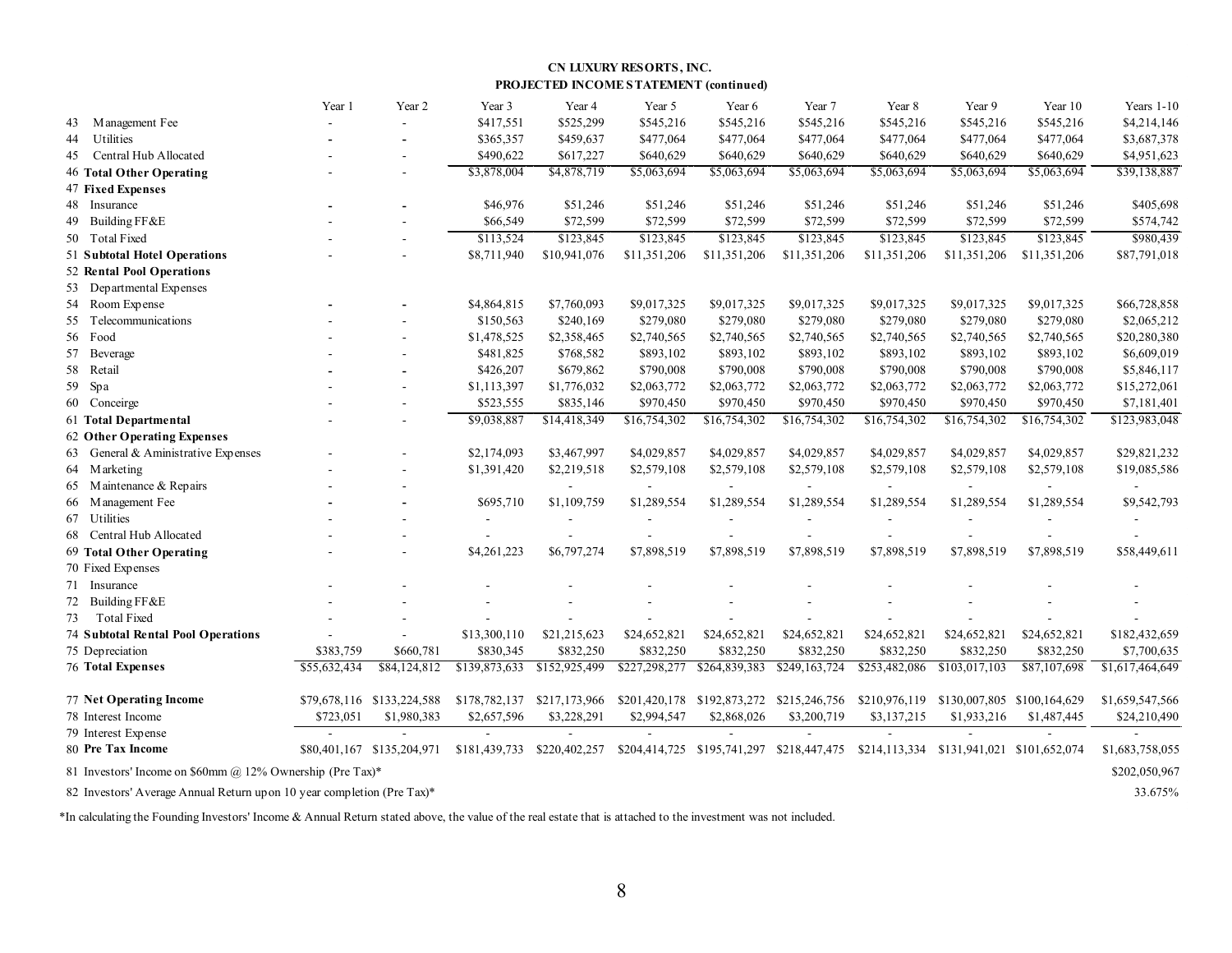#### CN LUXURY RESORTS, INC. PROJECTED INCOME STATEMENT (continued)

| 43 Management Fee<br>Utilities                                                                                                                                                                                                        |              | $\sim$                     | \$417,551<br>\$365,357<br>\$490,622<br>\$3,878,004                                                                                         | \$525,299<br>\$459,637<br>\$617,227<br>\$4,878,719 | \$545,216<br>\$477,064<br>\$640,629<br>\$5,063,694 | \$545,216<br>\$477,064<br>\$640,629<br>\$5,063,694 | \$545,216<br>\$477,064<br>\$640,629                                                 | \$545,216<br>\$477,064<br>\$640,629 | \$545,216<br>\$477,064<br>\$640,629 | \$545,216<br>\$477,064<br>\$640,629 | \$4,214,146<br>\$3,687,378<br>\$4,951,623 |
|---------------------------------------------------------------------------------------------------------------------------------------------------------------------------------------------------------------------------------------|--------------|----------------------------|--------------------------------------------------------------------------------------------------------------------------------------------|----------------------------------------------------|----------------------------------------------------|----------------------------------------------------|-------------------------------------------------------------------------------------|-------------------------------------|-------------------------------------|-------------------------------------|-------------------------------------------|
| 44<br>45 Central Hub Allocated<br>46 Total Other Operating<br><b>47 Fixed Expenses</b><br>48 Insurance<br>49 Building FF&E<br>50 Total Fixed<br>51 Subtotal Hotel Operations<br>52 Rental Pool Operations<br>53 Departmental Expenses |              |                            |                                                                                                                                            |                                                    |                                                    |                                                    |                                                                                     |                                     |                                     |                                     |                                           |
|                                                                                                                                                                                                                                       |              |                            |                                                                                                                                            |                                                    |                                                    |                                                    |                                                                                     |                                     |                                     |                                     |                                           |
|                                                                                                                                                                                                                                       |              |                            |                                                                                                                                            |                                                    |                                                    |                                                    |                                                                                     |                                     |                                     |                                     |                                           |
|                                                                                                                                                                                                                                       |              |                            |                                                                                                                                            |                                                    |                                                    |                                                    | \$5,063,694                                                                         | \$5,063,694                         | \$5,063,694                         | \$5,063,694                         | \$39,138,887                              |
|                                                                                                                                                                                                                                       |              |                            |                                                                                                                                            |                                                    |                                                    |                                                    |                                                                                     |                                     |                                     |                                     |                                           |
|                                                                                                                                                                                                                                       |              |                            | \$46,976                                                                                                                                   | \$51,246                                           | \$51,246                                           | \$51,246                                           | \$51,246                                                                            | \$51,246                            | \$51,246                            | \$51,246                            | \$405,698                                 |
|                                                                                                                                                                                                                                       |              | $\overline{\phantom{a}}$   | \$66,549                                                                                                                                   | \$72,599                                           | \$72,599                                           | \$72,599                                           | \$72,599                                                                            | \$72,599                            | \$72,599                            | \$72,599                            | \$574,742                                 |
|                                                                                                                                                                                                                                       |              |                            | \$113,524                                                                                                                                  | \$123,845                                          | \$123,845                                          | \$123,845                                          | \$123,845                                                                           | \$123,845                           | \$123,845                           | \$123,845                           | \$980,439                                 |
|                                                                                                                                                                                                                                       |              |                            | \$8,711,940                                                                                                                                | \$10,941,076                                       | \$11,351,206                                       | \$11,351,206                                       | \$11,351,206                                                                        | \$11,351,206                        | \$11,351,206                        | \$11,351,206                        | \$87,791,018                              |
|                                                                                                                                                                                                                                       |              |                            |                                                                                                                                            |                                                    |                                                    |                                                    |                                                                                     |                                     |                                     |                                     |                                           |
|                                                                                                                                                                                                                                       |              |                            |                                                                                                                                            |                                                    |                                                    |                                                    |                                                                                     |                                     |                                     |                                     |                                           |
| 54 Room Expense                                                                                                                                                                                                                       |              |                            | \$4,864,815                                                                                                                                | \$7,760,093                                        | \$9,017,325                                        | \$9,017,325                                        | \$9,017,325                                                                         | \$9,017,325                         | \$9,017,325                         | \$9,017,325                         | \$66,728,858                              |
| 55 Telecommunications                                                                                                                                                                                                                 |              |                            | \$150,563                                                                                                                                  | \$240,169                                          | \$279,080                                          | \$279,080                                          | \$279,080                                                                           | \$279,080                           | \$279,080                           | \$279,080                           | \$2,065,212                               |
| 56 Food                                                                                                                                                                                                                               |              |                            | \$1,478,525                                                                                                                                | \$2,358,465                                        | \$2,740,565                                        | \$2,740,565                                        | \$2,740,565                                                                         | \$2,740,565                         | \$2,740,565                         | \$2,740,565                         | \$20,280,380                              |
| 57 Beverage                                                                                                                                                                                                                           |              |                            | \$481,825                                                                                                                                  | \$768,582                                          | \$893,102                                          | \$893,102                                          | \$893,102                                                                           | \$893,102                           | \$893,102                           | \$893,102                           | \$6,609,019                               |
|                                                                                                                                                                                                                                       |              |                            |                                                                                                                                            | \$679,862                                          |                                                    |                                                    |                                                                                     |                                     |                                     |                                     |                                           |
| 58 Retail                                                                                                                                                                                                                             |              |                            | \$426,207                                                                                                                                  |                                                    | \$790,008                                          | \$790,008                                          | \$790,008                                                                           | \$790,008                           | \$790,008                           | \$790,008                           | \$5,846,117                               |
| 59 Spa                                                                                                                                                                                                                                |              |                            | \$1,113,397                                                                                                                                | \$1,776,032                                        | \$2,063,772                                        | \$2,063,772                                        | \$2,063,772                                                                         | \$2,063,772                         | \$2,063,772                         | \$2,063,772                         | \$15,272,061                              |
| 60 Conceirge                                                                                                                                                                                                                          |              |                            | \$523,555                                                                                                                                  | \$835,146                                          | \$970,450                                          | \$970,450                                          | \$970,450                                                                           | \$970,450                           | \$970,450                           | \$970,450                           | \$7,181,401                               |
| 61 Total Departmental                                                                                                                                                                                                                 |              |                            | \$9,038,887                                                                                                                                | \$14,418,349                                       | \$16,754,302                                       | \$16,754,302                                       | \$16,754,302                                                                        | \$16,754,302                        | \$16,754,302                        | \$16,754,302                        | \$123,983,048                             |
| 62 Other Operating Expenses                                                                                                                                                                                                           |              |                            |                                                                                                                                            |                                                    |                                                    |                                                    |                                                                                     |                                     |                                     |                                     |                                           |
| 63 General & Aministrative Expenses                                                                                                                                                                                                   |              |                            | \$2,174,093                                                                                                                                | \$3,467,997                                        | \$4,029,857                                        | \$4,029,857                                        | \$4,029,857                                                                         | \$4,029,857                         | \$4,029,857                         | \$4,029,857                         | \$29,821,232                              |
| 64 Marketing                                                                                                                                                                                                                          |              |                            | \$1,391,420                                                                                                                                | \$2,219,518                                        | \$2,579,108                                        | \$2,579,108                                        | \$2,579,108                                                                         | \$2,579,108                         | \$2,579,108                         | \$2,579,108                         | \$19,085,586                              |
| 65 Maintenance & Repairs                                                                                                                                                                                                              |              |                            |                                                                                                                                            | $\sim$                                             | $\sim$                                             | $\overline{a}$                                     | $\overline{\phantom{a}}$                                                            |                                     |                                     | $\overline{\phantom{a}}$            | $\sim$                                    |
| 66 M anagement Fee                                                                                                                                                                                                                    |              |                            | \$695,710                                                                                                                                  | \$1,109,759                                        | \$1,289,554                                        | \$1,289,554                                        | \$1,289,554                                                                         | \$1,289,554                         | \$1,289,554                         | \$1,289,554                         | \$9,542,793                               |
| 67 Utilities                                                                                                                                                                                                                          |              |                            | $\overline{\phantom{a}}$                                                                                                                   |                                                    | $\blacksquare$                                     |                                                    |                                                                                     |                                     |                                     |                                     |                                           |
| 68 Central Hub Allocated                                                                                                                                                                                                              |              |                            | $\overline{\phantom{a}}$                                                                                                                   |                                                    | $\overline{\phantom{a}}$                           |                                                    |                                                                                     |                                     |                                     | $\overline{\phantom{a}}$            |                                           |
| 69 Total Other Operating                                                                                                                                                                                                              |              |                            | \$4,261,223                                                                                                                                | \$6,797,274                                        | \$7,898,519                                        | \$7,898,519                                        | \$7,898,519                                                                         | \$7,898,519                         | \$7,898,519                         | \$7,898,519                         | \$58,449,611                              |
| 70 Fixed Expenses                                                                                                                                                                                                                     |              |                            |                                                                                                                                            |                                                    |                                                    |                                                    |                                                                                     |                                     |                                     |                                     |                                           |
| 71 Insurance                                                                                                                                                                                                                          |              |                            |                                                                                                                                            |                                                    |                                                    |                                                    |                                                                                     |                                     |                                     |                                     |                                           |
| 72 Building FF&E                                                                                                                                                                                                                      |              |                            |                                                                                                                                            |                                                    |                                                    |                                                    |                                                                                     |                                     |                                     |                                     |                                           |
| 73 Total Fixed                                                                                                                                                                                                                        |              |                            |                                                                                                                                            |                                                    |                                                    |                                                    |                                                                                     |                                     |                                     |                                     |                                           |
| <b>74 Subtotal Rental Pool Operations</b>                                                                                                                                                                                             |              |                            | \$13,300,110                                                                                                                               | \$21,215,623                                       | \$24,652,821                                       | \$24,652,821                                       | \$24,652,821                                                                        | \$24,652,821                        | \$24,652,821                        | \$24,652,821                        | \$182,432,659                             |
| 75 Depreciation                                                                                                                                                                                                                       | \$383,759    | \$660,781                  | \$830,345                                                                                                                                  | \$832,250                                          | \$832,250                                          | \$832,250                                          | \$832,250                                                                           | \$832,250                           | \$832,250                           | \$832,250                           | \$7,700,635                               |
| <b>76 Total Expenses</b>                                                                                                                                                                                                              | \$55,632,434 | \$84,124,812               | \$139,873,633                                                                                                                              | $\sqrt{152,925,499}$                               |                                                    |                                                    | $$227,298,277$ $$264,839,383$ $$249,163,724$ $$253,482,086$ $$103,017,103$          |                                     |                                     | \$87,107,698                        | \$1,617,464,649                           |
|                                                                                                                                                                                                                                       |              |                            |                                                                                                                                            |                                                    |                                                    |                                                    |                                                                                     |                                     |                                     |                                     |                                           |
| 77 Net Operating Income                                                                                                                                                                                                               |              | \$79,678,116 \$133,224,588 | \$178,782,137                                                                                                                              | \$217,173,966                                      |                                                    |                                                    | \$201,420,178 \$192,873,272 \$215,246,756 \$210,976,119 \$130,007,805 \$100,164,629 |                                     |                                     |                                     | \$1,659,547,566                           |
| 78 Interest Income                                                                                                                                                                                                                    | \$723,051    | \$1,980,383                | \$2,657,596                                                                                                                                | \$3,228,291                                        | \$2,994,547                                        | \$2,868,026                                        | \$3,200,719                                                                         | \$3,137,215                         | \$1,933,216                         | \$1,487,445                         | \$24,210,490                              |
| 79 Interest Expense                                                                                                                                                                                                                   |              |                            |                                                                                                                                            |                                                    |                                                    |                                                    |                                                                                     |                                     |                                     |                                     |                                           |
| 80 Pre Tax Income                                                                                                                                                                                                                     |              |                            | \$80,401,167 \$135,204,971 \$181,439,733 \$220,402,257 \$204,414,725 \$195,741,297 \$218,447,475 \$214,113,334 \$131,941,021 \$101,652,074 |                                                    |                                                    |                                                    |                                                                                     |                                     |                                     |                                     | \$1,683,758,055                           |
|                                                                                                                                                                                                                                       |              |                            |                                                                                                                                            |                                                    |                                                    |                                                    |                                                                                     |                                     |                                     |                                     |                                           |
| 81 Investors' Income on \$60mm @ 12% Ownership (Pre Tax)*                                                                                                                                                                             |              |                            |                                                                                                                                            |                                                    |                                                    |                                                    |                                                                                     |                                     |                                     |                                     | \$202,050,967                             |
| 82 Investors' Average Annual Return up on 10 year completion (Pre Tax)*                                                                                                                                                               |              |                            |                                                                                                                                            |                                                    |                                                    |                                                    |                                                                                     |                                     |                                     |                                     | 33.675%                                   |
| In calculating the Founding Investors' Income & Annual Return stated above, the value of the real estate that is attached to the investment was not included.                                                                         |              |                            |                                                                                                                                            |                                                    |                                                    |                                                    |                                                                                     |                                     |                                     |                                     |                                           |